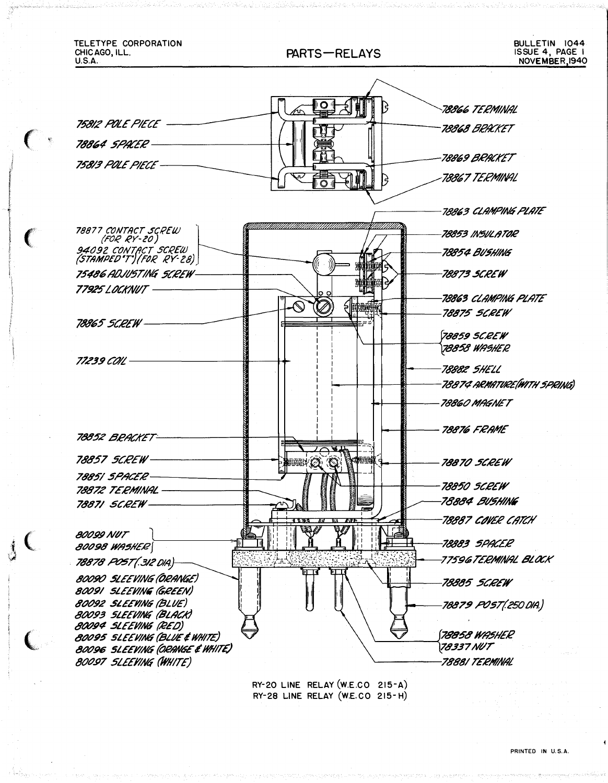

RY-28 LINE RELAY (W.E.CO 215-H)